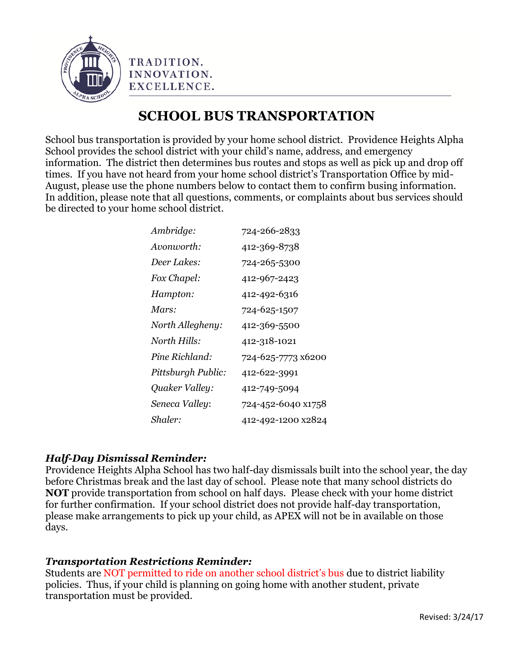

TRADITION. INNOVATION. EXCELLENCE.

## **SCHOOL BUS TRANSPORTATION**

School bus transportation is provided by your home school district. Providence Heights Alpha School provides the school district with your child's name, address, and emergency information. The district then determines bus routes and stops as well as pick up and drop off times. If you have not heard from your home school district's Transportation Office by mid-August, please use the phone numbers below to contact them to confirm busing information. In addition, please note that all questions, comments, or complaints about bus services should be directed to your home school district.

| Ambridge:          | 724-266-2833       |
|--------------------|--------------------|
| Avonworth:         | 412-369-8738       |
| Deer Lakes:        | 724-265-5300       |
| Fox Chapel:        | 412-967-2423       |
| Hampton:           | 412-492-6316       |
| Mars:              | 724-625-1507       |
| North Allegheny:   | 412-369-5500       |
| North Hills:       | 412-318-1021       |
| Pine Richland:     | 724-625-7773 x6200 |
| Pittsburgh Public: | 412-622-3991       |
| Quaker Valley:     | 412-749-5094       |
| Seneca Valley:     | 724-452-6040 x1758 |
| Shaler:            | 412-492-1200 x2824 |

## *Half-Day Dismissal Reminder:*

Providence Heights Alpha School has two half-day dismissals built into the school year, the day before Christmas break and the last day of school. Please note that many school districts do **NOT** provide transportation from school on half days. Please check with your home district for further confirmation. If your school district does not provide half-day transportation, please make arrangements to pick up your child, as APEX will not be in available on those days.

## *Transportation Restrictions Reminder:*

Students are NOT permitted to ride on another school district's bus due to district liability policies. Thus, if your child is planning on going home with another student, private transportation must be provided.